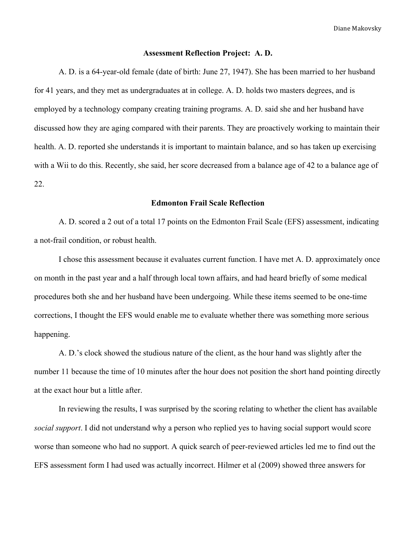#### **Assessment Reflection Project: A. D.**

A. D. is a 64-year-old female (date of birth: June 27, 1947). She has been married to her husband for 41 years, and they met as undergraduates at in college. A. D. holds two masters degrees, and is employed by a technology company creating training programs. A. D. said she and her husband have discussed how they are aging compared with their parents. They are proactively working to maintain their health. A. D. reported she understands it is important to maintain balance, and so has taken up exercising with a Wii to do this. Recently, she said, her score decreased from a balance age of 42 to a balance age of 22.

# **Edmonton Frail Scale Reflection**

A. D. scored a 2 out of a total 17 points on the Edmonton Frail Scale (EFS) assessment, indicating a not-frail condition, or robust health.

I chose this assessment because it evaluates current function. I have met A. D. approximately once on month in the past year and a half through local town affairs, and had heard briefly of some medical procedures both she and her husband have been undergoing. While these items seemed to be one-time corrections, I thought the EFS would enable me to evaluate whether there was something more serious happening.

A. D.'s clock showed the studious nature of the client, as the hour hand was slightly after the number 11 because the time of 10 minutes after the hour does not position the short hand pointing directly at the exact hour but a little after.

In reviewing the results, I was surprised by the scoring relating to whether the client has available *social support*. I did not understand why a person who replied yes to having social support would score worse than someone who had no support. A quick search of peer-reviewed articles led me to find out the EFS assessment form I had used was actually incorrect. Hilmer et al (2009) showed three answers for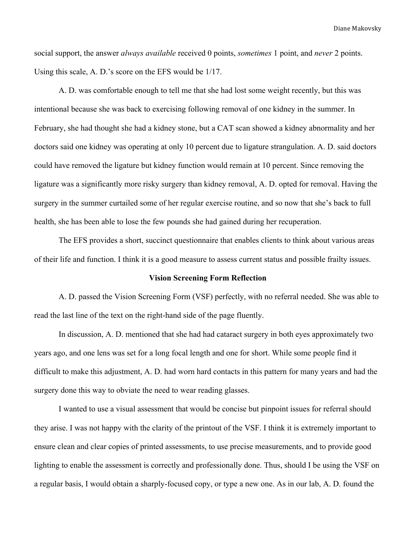social support, the answer *always available* received 0 points, *sometimes* 1 point, and *never* 2 points. Using this scale, A. D.'s score on the EFS would be 1/17.

A. D. was comfortable enough to tell me that she had lost some weight recently, but this was intentional because she was back to exercising following removal of one kidney in the summer. In February, she had thought she had a kidney stone, but a CAT scan showed a kidney abnormality and her doctors said one kidney was operating at only 10 percent due to ligature strangulation. A. D. said doctors could have removed the ligature but kidney function would remain at 10 percent. Since removing the ligature was a significantly more risky surgery than kidney removal, A. D. opted for removal. Having the surgery in the summer curtailed some of her regular exercise routine, and so now that she's back to full health, she has been able to lose the few pounds she had gained during her recuperation.

The EFS provides a short, succinct questionnaire that enables clients to think about various areas of their life and function. I think it is a good measure to assess current status and possible frailty issues.

#### **Vision Screening Form Reflection**

A. D. passed the Vision Screening Form (VSF) perfectly, with no referral needed. She was able to read the last line of the text on the right-hand side of the page fluently.

In discussion, A. D. mentioned that she had had cataract surgery in both eyes approximately two years ago, and one lens was set for a long focal length and one for short. While some people find it difficult to make this adjustment, A. D. had worn hard contacts in this pattern for many years and had the surgery done this way to obviate the need to wear reading glasses.

I wanted to use a visual assessment that would be concise but pinpoint issues for referral should they arise. I was not happy with the clarity of the printout of the VSF. I think it is extremely important to ensure clean and clear copies of printed assessments, to use precise measurements, and to provide good lighting to enable the assessment is correctly and professionally done. Thus, should I be using the VSF on a regular basis, I would obtain a sharply-focused copy, or type a new one. As in our lab, A. D. found the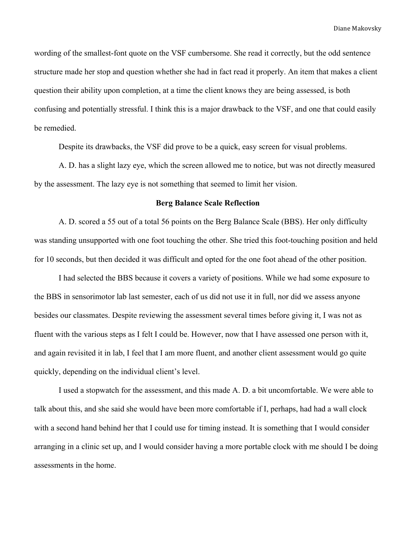wording of the smallest-font quote on the VSF cumbersome. She read it correctly, but the odd sentence structure made her stop and question whether she had in fact read it properly. An item that makes a client question their ability upon completion, at a time the client knows they are being assessed, is both confusing and potentially stressful. I think this is a major drawback to the VSF, and one that could easily be remedied.

Despite its drawbacks, the VSF did prove to be a quick, easy screen for visual problems.

A. D. has a slight lazy eye, which the screen allowed me to notice, but was not directly measured by the assessment. The lazy eye is not something that seemed to limit her vision.

## **Berg Balance Scale Reflection**

A. D. scored a 55 out of a total 56 points on the Berg Balance Scale (BBS). Her only difficulty was standing unsupported with one foot touching the other. She tried this foot-touching position and held for 10 seconds, but then decided it was difficult and opted for the one foot ahead of the other position.

I had selected the BBS because it covers a variety of positions. While we had some exposure to the BBS in sensorimotor lab last semester, each of us did not use it in full, nor did we assess anyone besides our classmates. Despite reviewing the assessment several times before giving it, I was not as fluent with the various steps as I felt I could be. However, now that I have assessed one person with it, and again revisited it in lab, I feel that I am more fluent, and another client assessment would go quite quickly, depending on the individual client's level.

I used a stopwatch for the assessment, and this made A. D. a bit uncomfortable. We were able to talk about this, and she said she would have been more comfortable if I, perhaps, had had a wall clock with a second hand behind her that I could use for timing instead. It is something that I would consider arranging in a clinic set up, and I would consider having a more portable clock with me should I be doing assessments in the home.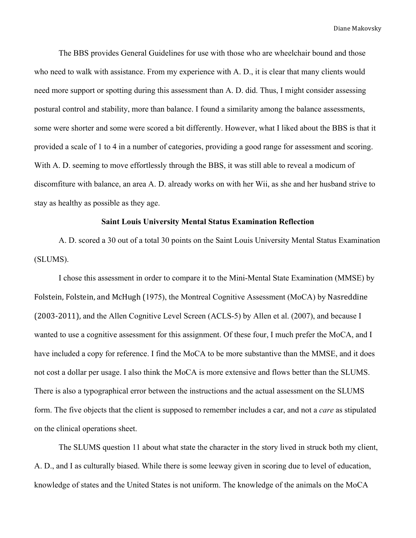The BBS provides General Guidelines for use with those who are wheelchair bound and those who need to walk with assistance. From my experience with A. D., it is clear that many clients would need more support or spotting during this assessment than A. D. did. Thus, I might consider assessing postural control and stability, more than balance. I found a similarity among the balance assessments, some were shorter and some were scored a bit differently. However, what I liked about the BBS is that it provided a scale of 1 to 4 in a number of categories, providing a good range for assessment and scoring. With A. D. seeming to move effortlessly through the BBS, it was still able to reveal a modicum of discomfiture with balance, an area A. D. already works on with her Wii, as she and her husband strive to stay as healthy as possible as they age.

## **Saint Louis University Mental Status Examination Reflection**

A. D. scored a 30 out of a total 30 points on the Saint Louis University Mental Status Examination (SLUMS).

I chose this assessment in order to compare it to the Mini-Mental State Examination (MMSE) by Folstein, Folstein, and McHugh (1975), the Montreal Cognitive Assessment (MoCA) by Nasreddine (2003=2011), and the Allen Cognitive Level Screen (ACLS-5) by Allen et al. (2007), and because I wanted to use a cognitive assessment for this assignment. Of these four, I much prefer the MoCA, and I have included a copy for reference. I find the MoCA to be more substantive than the MMSE, and it does not cost a dollar per usage. I also think the MoCA is more extensive and flows better than the SLUMS. There is also a typographical error between the instructions and the actual assessment on the SLUMS form. The five objects that the client is supposed to remember includes a car, and not a *care* as stipulated on the clinical operations sheet.

The SLUMS question 11 about what state the character in the story lived in struck both my client, A. D., and I as culturally biased. While there is some leeway given in scoring due to level of education, knowledge of states and the United States is not uniform. The knowledge of the animals on the MoCA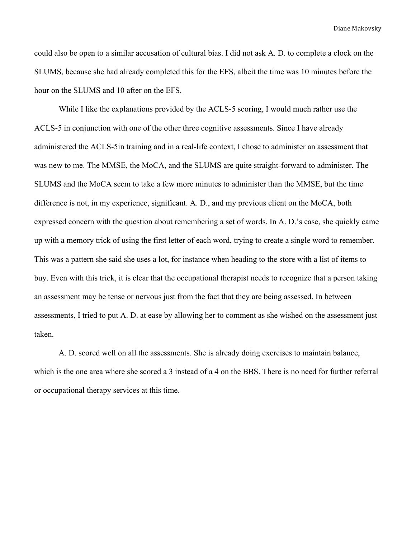could also be open to a similar accusation of cultural bias. I did not ask A. D. to complete a clock on the SLUMS, because she had already completed this for the EFS, albeit the time was 10 minutes before the hour on the SLUMS and 10 after on the EFS.

While I like the explanations provided by the ACLS-5 scoring, I would much rather use the ACLS-5 in conjunction with one of the other three cognitive assessments. Since I have already administered the ACLS-5in training and in a real-life context, I chose to administer an assessment that was new to me. The MMSE, the MoCA, and the SLUMS are quite straight-forward to administer. The SLUMS and the MoCA seem to take a few more minutes to administer than the MMSE, but the time difference is not, in my experience, significant. A. D., and my previous client on the MoCA, both expressed concern with the question about remembering a set of words. In A. D.'s case, she quickly came up with a memory trick of using the first letter of each word, trying to create a single word to remember. This was a pattern she said she uses a lot, for instance when heading to the store with a list of items to buy. Even with this trick, it is clear that the occupational therapist needs to recognize that a person taking an assessment may be tense or nervous just from the fact that they are being assessed. In between assessments, I tried to put A. D. at ease by allowing her to comment as she wished on the assessment just taken.

A. D. scored well on all the assessments. She is already doing exercises to maintain balance, which is the one area where she scored a 3 instead of a 4 on the BBS. There is no need for further referral or occupational therapy services at this time.